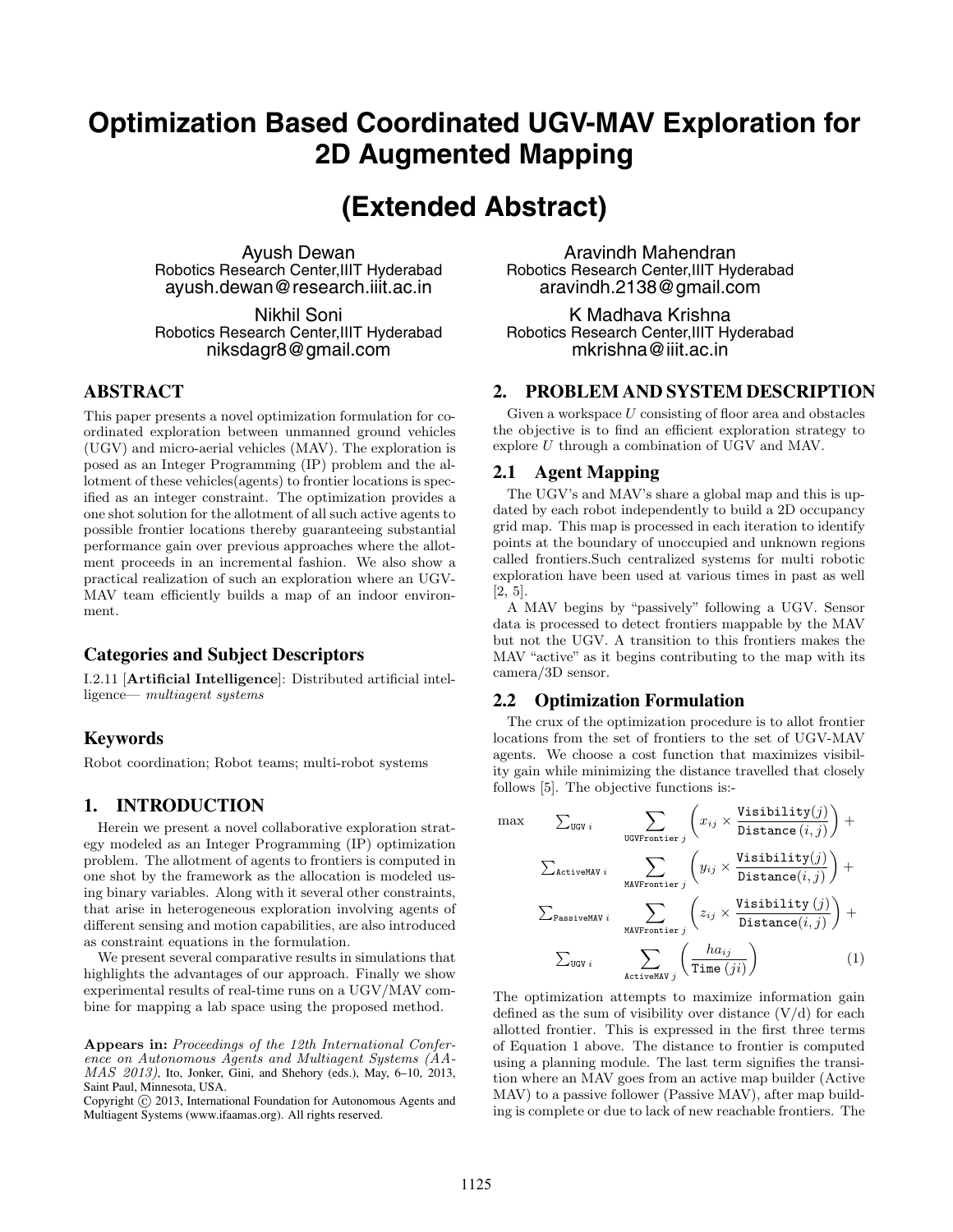# **Optimization Based Coordinated UGV-MAV Exploration for 2D Augmented Mapping**

# **(Extended Abstract)**

Ayush Dewan Robotics Research Center,IIIT Hyderabad ayush.dewan@research.iiit.ac.in

Nikhil Soni Robotics Research Center,IIIT Hyderabad niksdagr8@gmail.com

#### **ABSTRACT**

This paper presents a novel optimization formulation for coordinated exploration between unmanned ground vehicles (UGV) and micro-aerial vehicles (MAV). The exploration is posed as an Integer Programming (IP) problem and the allotment of these vehicles(agents) to frontier locations is specified as an integer constraint. The optimization provides a one shot solution for the allotment of all such active agents to possible frontier locations thereby guaranteeing substantial performance gain over previous approaches where the allotment proceeds in an incremental fashion. We also show a practical realization of such an exploration where an UGV-MAV team efficiently builds a map of an indoor environment.

#### **Categories and Subject Descriptors**

I.2.11 [**Artificial Intelligence**]: Distributed artificial intelligence— *multiagent systems*

## **Keywords**

Robot coordination; Robot teams; multi-robot systems

# **1. INTRODUCTION**

Herein we present a novel collaborative exploration strategy modeled as an Integer Programming (IP) optimization problem. The allotment of agents to frontiers is computed in one shot by the framework as the allocation is modeled using binary variables. Along with it several other constraints, that arise in heterogeneous exploration involving agents of different sensing and motion capabilities, are also introduced as constraint equations in the formulation.

We present several comparative results in simulations that highlights the advantages of our approach. Finally we show experimental results of real-time runs on a UGV/MAV combine for mapping a lab space using the proposed method.

**Appears in:** *Proceedings of the 12th International Conference on Autonomous Agents and Multiagent Systems (AA-MAS 2013)*, Ito, Jonker, Gini, and Shehory (eds.), May, 6–10, 2013, Saint Paul, Minnesota, USA.

Copyright  $\odot$  2013, International Foundation for Autonomous Agents and Multiagent Systems (www.ifaamas.org). All rights reserved.

Aravindh Mahendran Robotics Research Center,IIIT Hyderabad aravindh.2138@gmail.com

K Madhava Krishna Robotics Research Center,IIIT Hyderabad mkrishna@iiit.ac.in

# **2. PROBLEM AND SYSTEM DESCRIPTION**

Given a workspace *U* consisting of floor area and obstacles the objective is to find an efficient exploration strategy to explore *U* through a combination of UGV and MAV.

#### **2.1 Agent Mapping**

The UGV's and MAV's share a global map and this is updated by each robot independently to build a 2D occupancy grid map. This map is processed in each iteration to identify points at the boundary of unoccupied and unknown regions called frontiers.Such centralized systems for multi robotic exploration have been used at various times in past as well [2, 5].

A MAV begins by "passively" following a UGV. Sensor data is processed to detect frontiers mappable by the MAV but not the UGV. A transition to this frontiers makes the MAV "active" as it begins contributing to the map with its camera/3D sensor.

## **2.2 Optimization Formulation**

The crux of the optimization procedure is to allot frontier locations from the set of frontiers to the set of UGV-MAV agents. We choose a cost function that maximizes visibility gain while minimizing the distance travelled that closely follows [5]. The objective functions is:-

$$
\max \qquad \sum_{\text{UGVY} i} \qquad \sum_{\text{UGVFontier } j} \left( x_{ij} \times \frac{\text{Visibility}(j)}{\text{Distance}(i,j)} \right) + \\ \qquad \sum_{\text{ActiveMAV } i} \qquad \sum_{\text{MAVFontier } j} \left( y_{ij} \times \frac{\text{Visibility}(j)}{\text{Distance}(i,j)} \right) + \\ \qquad \sum_{\text{PassiveMAV } i} \qquad \sum_{\text{MAVFontier } j} \left( z_{ij} \times \frac{\text{Visibility}(j)}{\text{Distance}(i,j)} \right) + \\ \qquad \sum_{\text{UGV } i} \qquad \sum_{\text{ActiveMAV } j} \left( \frac{h a_{ij}}{\text{Time } (ji)} \right) \qquad (1)
$$

The optimization attempts to maximize information gain defined as the sum of visibility over distance  $(V/d)$  for each allotted frontier. This is expressed in the first three terms of Equation 1 above. The distance to frontier is computed using a planning module. The last term signifies the transition where an MAV goes from an active map builder (Active MAV) to a passive follower (Passive MAV), after map building is complete or due to lack of new reachable frontiers. The